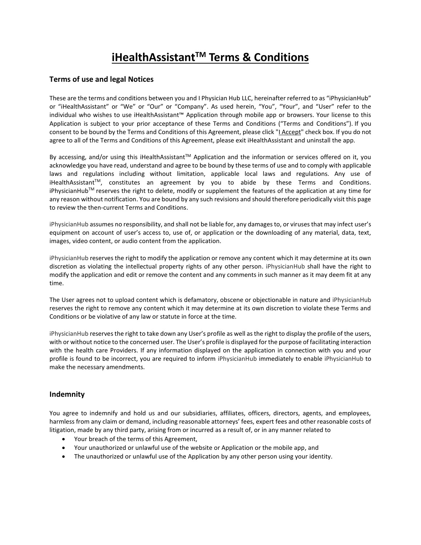# **iHealthAssistantTM Terms & Conditions**

## **Terms of use and legal Notices**

These are the terms and conditions between you and I Physician Hub LLC, hereinafter referred to as "iPhysicianHub" or "iHealthAssistant" or "We" or "Our" or "Company". As used herein, "You", "Your", and "User" refer to the individual who wishes to use iHealthAssistant™ Application through mobile app or browsers. Your license to this Application is subject to your prior acceptance of these Terms and Conditions ("Terms and Conditions"). If you consent to be bound by the Terms and Conditions of this Agreement, please click "I Accept" check box. If you do not agree to all of the Terms and Conditions of this Agreement, please exit iHealthAssistant and uninstall the app.

By accessing, and/or using this iHealthAssistant™ Application and the information or services offered on it, you acknowledge you have read, understand and agree to be bound by these terms of use and to comply with applicable laws and regulations including without limitation, applicable local laws and regulations. Any use of iHealthAssistantTM, constitutes an agreement by you to abide by these Terms and Conditions. iPhysicianHub<sup>TM</sup> reserves the right to delete, modify or supplement the features of the application at any time for any reason without notification. You are bound by any such revisions and should therefore periodically visit this page to review the then-current Terms and Conditions.

iPhysicianHub assumes no responsibility, and shall not be liable for, any damages to, or viruses that may infect user's equipment on account of user's access to, use of, or application or the downloading of any material, data, text, images, video content, or audio content from the application.

iPhysicianHub reserves the right to modify the application or remove any content which it may determine at its own discretion as violating the intellectual property rights of any other person. iPhysicianHub shall have the right to modify the application and edit or remove the content and any comments in such manner as it may deem fit at any time.

The User agrees not to upload content which is defamatory, obscene or objectionable in nature and iPhysicianHub reserves the right to remove any content which it may determine at its own discretion to violate these Terms and Conditions or be violative of any law or statute in force at the time.

iPhysicianHub reserves the right to take down any User's profile as well as the right to display the profile of the users, with or without notice to the concerned user. The User's profile is displayed for the purpose of facilitating interaction with the health care Providers. If any information displayed on the application in connection with you and your profile is found to be incorrect, you are required to inform iPhysicianHub immediately to enable iPhysicianHub to make the necessary amendments.

## **Indemnity**

You agree to indemnify and hold us and our subsidiaries, affiliates, officers, directors, agents, and employees, harmless from any claim or demand, including reasonable attorneys' fees, expert fees and other reasonable costs of litigation, made by any third party, arising from or incurred as a result of, or in any manner related to

- Your breach of the terms of this Agreement,
- Your unauthorized or unlawful use of the website or Application or the mobile app, and
- The unauthorized or unlawful use of the Application by any other person using your identity.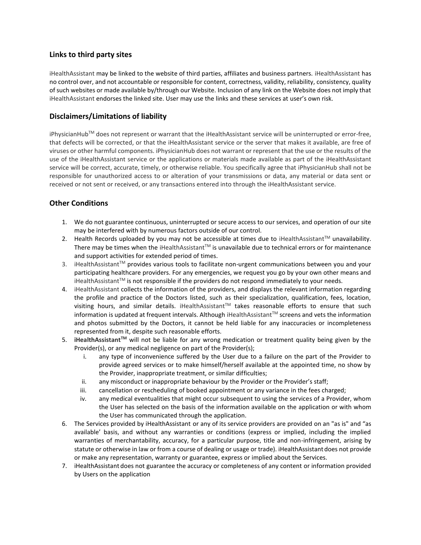## **Links to third party sites**

iHealthAssistant may be linked to the website of third parties, affiliates and business partners. iHealthAssistant has no control over, and not accountable or responsible for content, correctness, validity, reliability, consistency, quality of such websites or made available by/through our Website. Inclusion of any link on the Website does not imply that iHealthAssistant endorses the linked site. User may use the links and these services at user's own risk.

# **Disclaimers/Limitations of liability**

iPhysicianHub™ does not represent or warrant that the iHealthAssistant service will be uninterrupted or error-free, that defects will be corrected, or that the iHealthAssistant service or the server that makes it available, are free of viruses or other harmful components. iPhysicianHub does not warrant or represent that the use or the results of the use of the iHealthAssistant service or the applications or materials made available as part of the iHealthAssistant service will be correct, accurate, timely, or otherwise reliable. You specifically agree that iPhysicianHub shall not be responsible for unauthorized access to or alteration of your transmissions or data, any material or data sent or received or not sent or received, or any transactions entered into through the iHealthAssistant service.

# **Other Conditions**

- 1. We do not guarantee continuous, uninterrupted or secure access to our services, and operation of our site may be interfered with by numerous factors outside of our control.
- 2. Health Records uploaded by you may not be accessible at times due to iHealthAssistant™ unavailability. There may be times when the iHealthAssistant<sup>™</sup> is unavailable due to technical errors or for maintenance and support activities for extended period of times.
- 3. iHealthAssistant™ provides various tools to facilitate non-urgent communications between you and your participating healthcare providers. For any emergencies, we request you go by your own other means and iHealthAssistant<sup>TM</sup> is not responsible if the providers do not respond immediately to your needs.
- 4. iHealthAssistant collects the information of the providers, and displays the relevant information regarding the profile and practice of the Doctors listed, such as their specialization, qualification, fees, location, visiting hours, and similar details. iHealthAssistant™ takes reasonable efforts to ensure that such information is updated at frequent intervals. Although iHealthAssistant™ screens and vets the information and photos submitted by the Doctors, it cannot be held liable for any inaccuracies or incompleteness represented from it, despite such reasonable efforts.
- 5. **iHealthAssistantTM** will not be liable for any wrong medication or treatment quality being given by the Provider(s), or any medical negligence on part of the Provider(s);
	- i. any type of inconvenience suffered by the User due to a failure on the part of the Provider to provide agreed services or to make himself/herself available at the appointed time, no show by the Provider, inappropriate treatment, or similar difficulties;
	- ii. any misconduct or inappropriate behaviour by the Provider or the Provider's staff;
	- iii. cancellation or rescheduling of booked appointment or any variance in the fees charged;
	- iv. any medical eventualities that might occur subsequent to using the services of a Provider, whom the User has selected on the basis of the information available on the application or with whom the User has communicated through the application.
- 6. The Services provided by iHealthAssistant or any of its service providers are provided on an "as is" and "as available' basis, and without any warranties or conditions (express or implied, including the implied warranties of merchantability, accuracy, for a particular purpose, title and non-infringement, arising by statute or otherwise in law or from a course of dealing or usage or trade). iHealthAssistant does not provide or make any representation, warranty or guarantee, express or implied about the Services.
- 7. iHealthAssistant does not guarantee the accuracy or completeness of any content or information provided by Users on the application